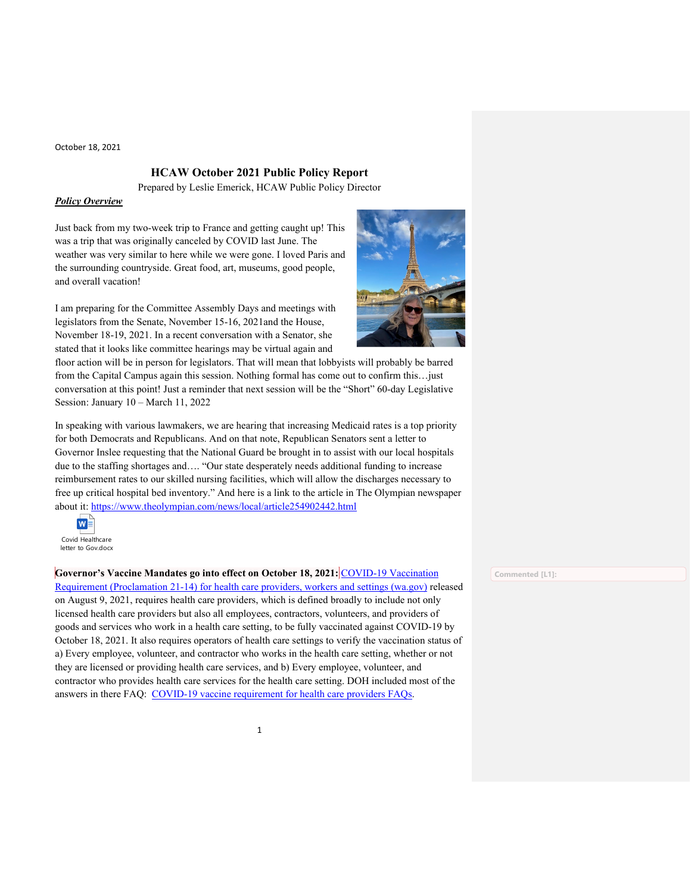# **HCAW October 2021 Public Policy Report**

Prepared by Leslie Emerick, HCAW Public Policy Director

## *Policy Overview*

Just back from my two-week trip to France and getting caught up! This was a trip that was originally canceled by COVID last June. The weather was very similar to here while we were gone. I loved Paris and the surrounding countryside. Great food, art, museums, good people, and overall vacation!

I am preparing for the Committee Assembly Days and meetings with legislators from the Senate, November 15-16, 2021and the House, November 18-19, 2021. In a recent conversation with a Senator, she stated that it looks like committee hearings may be virtual again and

floor action will be in person for legislators. That will mean that lobbyists will probably be barred from the Capital Campus again this session. Nothing formal has come out to confirm this... just conversation at this point! Just a reminder that next session will be the "Short" 60-day Legislative Session: January 10 – March 11, 2022

In speaking with various lawmakers, we are hearing that increasing Medicaid rates is a top priority for both Democrats and Republicans. And on that note, Republican Senators sent a letter to Governor Inslee requesting that the National Guard be brought in to assist with our local hospitals due to the staffing shortages and…. "Our state desperately needs additional funding to increase reimbursement rates to our skilled nursing facilities, which will allow the discharges necessary to free up critical hospital bed inventory." And here is a link to the article in The Olympian newspaper about it:<https://www.theolympian.com/news/local/article254902442.html>



**Governor's Vaccine Mandates go into effect on October 18, 2021:** [COVID-19 Vaccination](https://www.doh.wa.gov/Portals/1/Documents/1600/coronavirus/505-160-VaccinationRequirementFAQs.pdf) 

[Requirement \(Proclamation 21-14\) for health care providers, workers and settings \(wa.gov\)](https://www.doh.wa.gov/Portals/1/Documents/1600/coronavirus/505-160-VaccinationRequirementFAQs.pdf) released on August 9, 2021, requires health care providers, which is defined broadly to include not only licensed health care providers but also all employees, contractors, volunteers, and providers of goods and services who work in a health care setting, to be fully vaccinated against COVID-19 by October 18, 2021. It also requires operators of health care settings to verify the vaccination status of a) Every employee, volunteer, and contractor who works in the health care setting, whether or not they are licensed or providing health care services, and b) Every employee, volunteer, and contractor who provides health care services for the health care setting. DOH included most of the answers in there FAQ: [COVID-19 vaccine requirement for health care providers FAQs.](https://lnks.gd/l/eyJhbGciOiJIUzI1NiJ9.eyJidWxsZXRpbl9saW5rX2lkIjoxMDEsInVyaSI6ImJwMjpjbGljayIsImJ1bGxldGluX2lkIjoiMjAyMTA4MTcuNDQ2Njc0MzEiLCJ1cmwiOiJodHRwczovL2djYzAyLnNhZmVsaW5rcy5wcm90ZWN0aW9uLm91dGxvb2suY29tLz91cmw9aHR0cHMlM0ElMkYlMkZ3d3cuZG9oLndhLmdvdiUyRlBvcnRhbHMlMkYxJTJGRG9jdW1lbnRzJTJGMTYwMCUyRmNvcm9uYXZpcnVzJTJGNTA1LTE2MC1WYWNjaW5hdGlvblJlcXVpcmVtZW50RkFRcy5wZGYmZGF0YT0wNCU3QzAxJTdDQWxlamFuZHJvLkxlJTQwZG9oLndhLmdvdiU3QzM2YjZlNDFkYzYxYjQ1MmIwM2RhMDhkOTYxOTRkMWVmJTdDMTFkMGUyMTcyNjRlNDAwYThiYTA1N2RjYzEyN2Q3MmQlN0MwJTdDMCU3QzYzNzY0ODExNDA4MDEyOTA2MiU3Q1Vua25vd24lN0NUV0ZwYkdac2IzZDhleUpXSWpvaU1DNHdMakF3TURBaUxDSlFJam9pVjJsdU16SWlMQ0pCVGlJNklrMWhhV3dpTENKWFZDSTZNbjAlM0QlN0MxMDAwJnNkYXRhPUVpRkdJem9JdGRCNmFmTFdBWHo1NTFCOSUyQk1tbHdTdXZ5TEklMkJmRnJ2bmI4JTNEJnJlc2VydmVkPTAifQ.6HfByLfowz526NRlv8a2J8a43urPikY43NFW5Tqn6yE/s/716477290/br/111032598804-l)



**Commented [L1]:**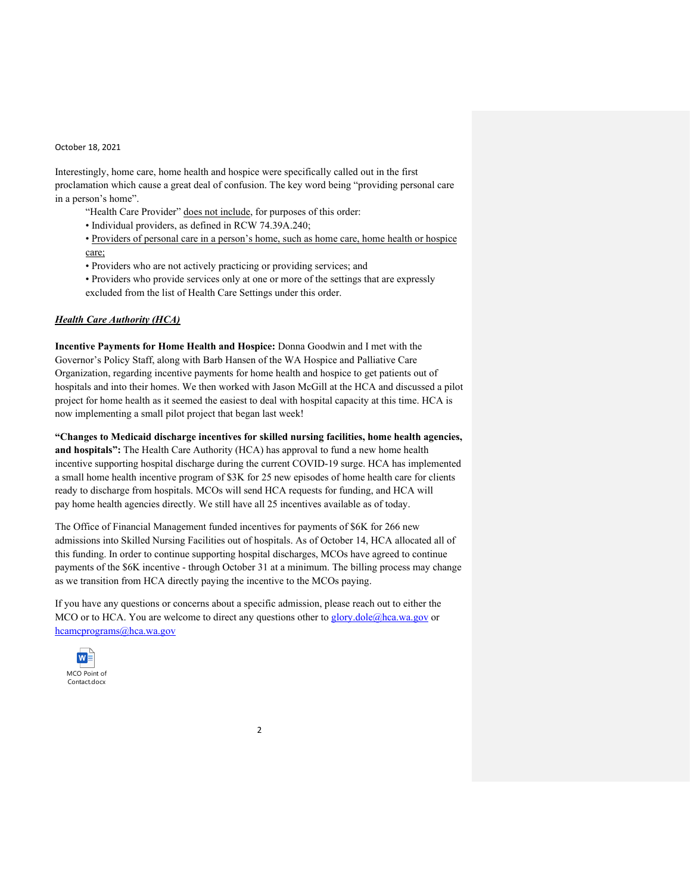Interestingly, home care, home health and hospice were specifically called out in the first proclamation which cause a great deal of confusion. The key word being "providing personal care in a person's home".

"Health Care Provider" does not include, for purposes of this order:

- Individual providers, as defined in RCW 74.39A.240;
- Providers of personal care in a person's home, such as home care, home health or hospice care;
- Providers who are not actively practicing or providing services; and
- Providers who provide services only at one or more of the settings that are expressly excluded from the list of Health Care Settings under this order.

## *Health Care Authority (HCA)*

**Incentive Payments for Home Health and Hospice:** Donna Goodwin and I met with the Governor's Policy Staff, along with Barb Hansen of the WA Hospice and Palliative Care Organization, regarding incentive payments for home health and hospice to get patients out of hospitals and into their homes. We then worked with Jason McGill at the HCA and discussed a pilot project for home health as it seemed the easiest to deal with hospital capacity at this time. HCA is now implementing a small pilot project that began last week!

**"Changes to Medicaid discharge incentives for skilled nursing facilities, home health agencies, and hospitals":** The Health Care Authority (HCA) has approval to fund a new home health incentive supporting hospital discharge during the current COVID-19 surge. HCA has implemented a small home health incentive program of \$3K for 25 new episodes of home health care for clients ready to discharge from hospitals. MCOs will send HCA requests for funding, and HCA will pay home health agencies directly. We still have all 25 incentives available as of today.

The Office of Financial Management funded incentives for payments of \$6K for 266 new admissions into Skilled Nursing Facilities out of hospitals. As of October 14, HCA allocated all of this funding. In order to continue supporting hospital discharges, MCOs have agreed to continue payments of the \$6K incentive - through October 31 at a minimum. The billing process may change as we transition from HCA directly paying the incentive to the MCOs paying.

If you have any questions or concerns about a specific admission, please reach out to either the MCO or to HCA. You are welcome to direct any questions other to [glory.dole@hca.wa.gov](mailto:glory.dole@hca.wa.gov) or [hcamcprograms@hca.wa.gov](mailto:hcamcprograms@hca.wa.gov)

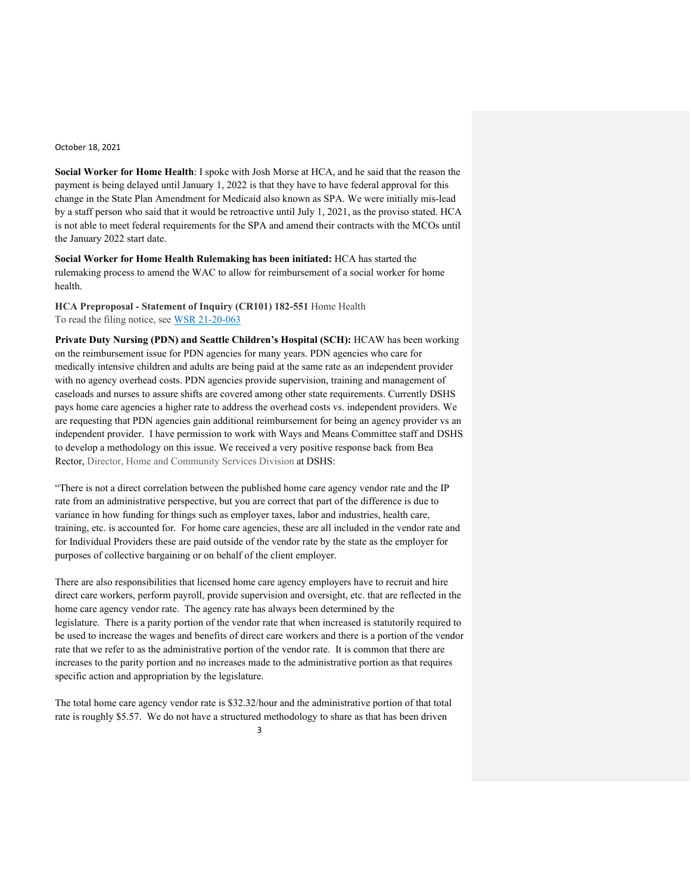**Social Worker for Home Health**: I spoke with Josh Morse at HCA, and he said that the reason the payment is being delayed until January 1, 2022 is that they have to have federal approval for this change in the State Plan Amendment for Medicaid also known as SPA. We were initially mis-lead by a staff person who said that it would be retroactive until July 1, 2021, as the proviso stated. HCA is not able to meet federal requirements for the SPA and amend their contracts with the MCOs until the January 2022 start date.

**Social Worker for Home Health Rulemaking has been initiated:** HCA has started the rulemaking process to amend the WAC to allow for reimbursement of a social worker for home health.

**HCA Preproposal - Statement of Inquiry (CR101) 182-551** Home Health To read the filing notice, see [WSR 21-20-063](https://lnks.gd/l/eyJhbGciOiJIUzI1NiJ9.eyJidWxsZXRpbl9saW5rX2lkIjoxMDUsInVyaSI6ImJwMjpjbGljayIsImJ1bGxldGluX2lkIjoiMjAyMTEwMTEuNDcxOTcwMzEiLCJ1cmwiOiJodHRwczovL3d3dy5oY2Eud2EuZ292L2Fzc2V0cy8xMDEtMjEtMjAtMDYzLnBkZiJ9.HPHMZ7_img0pY_jQbx7yZRgyrwmpx-IL4d_lNt-IoyM/s/1807707848/br/113727131866-l)

**Private Duty Nursing (PDN) and Seattle Children's Hospital (SCH):** HCAW has been working on the reimbursement issue for PDN agencies for many years. PDN agencies who care for medically intensive children and adults are being paid at the same rate as an independent provider with no agency overhead costs. PDN agencies provide supervision, training and management of caseloads and nurses to assure shifts are covered among other state requirements. Currently DSHS pays home care agencies a higher rate to address the overhead costs vs. independent providers. We are requesting that PDN agencies gain additional reimbursement for being an agency provider vs an independent provider. I have permission to work with Ways and Means Committee staff and DSHS to develop a methodology on this issue. We received a very positive response back from Bea Rector, Director, Home and Community Services Division at DSHS:

"There is not a direct correlation between the published home care agency vendor rate and the IP rate from an administrative perspective, but you are correct that part of the difference is due to variance in how funding for things such as employer taxes, labor and industries, health care, training, etc. is accounted for. For home care agencies, these are all included in the vendor rate and for Individual Providers these are paid outside of the vendor rate by the state as the employer for purposes of collective bargaining or on behalf of the client employer.

There are also responsibilities that licensed home care agency employers have to recruit and hire direct care workers, perform payroll, provide supervision and oversight, etc. that are reflected in the home care agency vendor rate. The agency rate has always been determined by the legislature. There is a parity portion of the vendor rate that when increased is statutorily required to be used to increase the wages and benefits of direct care workers and there is a portion of the vendor rate that we refer to as the administrative portion of the vendor rate. It is common that there are increases to the parity portion and no increases made to the administrative portion as that requires specific action and appropriation by the legislature.

The total home care agency vendor rate is \$32.32/hour and the administrative portion of that total rate is roughly \$5.57. We do not have a structured methodology to share as that has been driven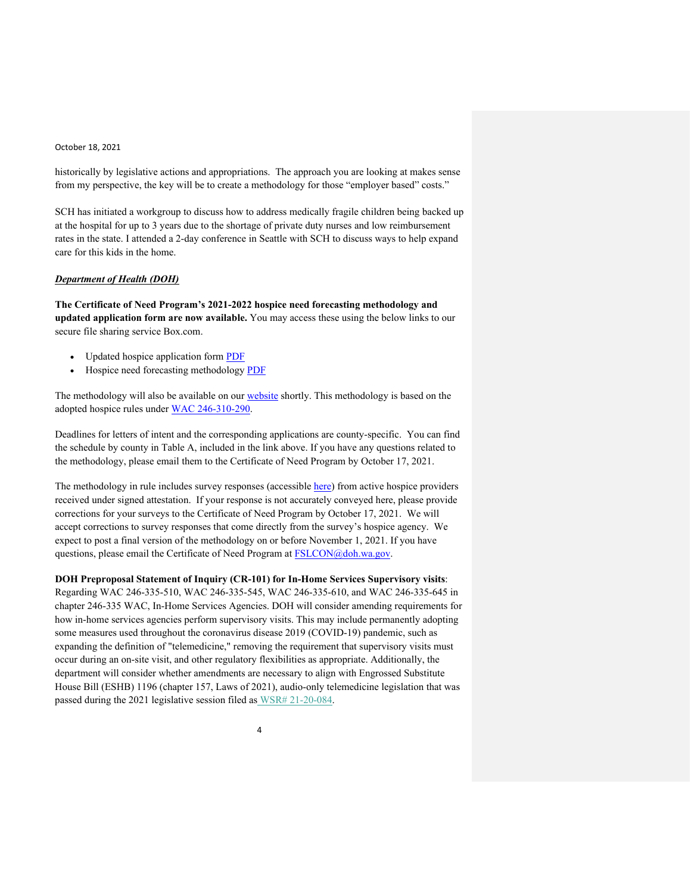historically by legislative actions and appropriations. The approach you are looking at makes sense from my perspective, the key will be to create a methodology for those "employer based" costs."

SCH has initiated a workgroup to discuss how to address medically fragile children being backed up at the hospital for up to 3 years due to the shortage of private duty nurses and low reimbursement rates in the state. I attended a 2-day conference in Seattle with SCH to discuss ways to help expand care for this kids in the home.

## *Department of Health (DOH)*

**The Certificate of Need Program's 2021-2022 hospice need forecasting methodology and updated application form are now available.** You may access these using the below links to our secure file sharing service Box.com.

- Updated hospice application form [PDF](https://lnks.gd/l/eyJhbGciOiJIUzI1NiJ9.eyJidWxsZXRpbl9saW5rX2lkIjoxMDAsInVyaSI6ImJwMjpjbGljayIsImJ1bGxldGluX2lkIjoiMjAyMTEwMDEuNDY3OTI4NTEiLCJ1cmwiOiJodHRwczovL2djYzAyLnNhZmVsaW5rcy5wcm90ZWN0aW9uLm91dGxvb2suY29tLz91cmw9aHR0cHMlM0ElMkYlMkZ3d3cuZG9oLndhLmdvdiUyRlBvcnRhbHMlMkYxJTJGRG9jdW1lbnRzJTJGMjMwMCUyRjIwMjAlMkZIb3NwaWNlQXBwbGljYXRpb24ucGRmJmRhdGE9MDQlN0MwMSU3Q0FsZWphbmRyby5MZSU0MGRvaC53YS5nb3YlN0M5ZGYwZjM0MWNlMjM0Y2U1NjkzZTA4ZDk4NTMxOTRlMCU3QzExZDBlMjE3MjY0ZTQwMGE4YmEwNTdkY2MxMjdkNzJkJTdDMCU3QzAlN0M2Mzc2ODcyNzAyNTY3OTEyNTglN0NVbmtub3duJTdDVFdGcGJHWnNiM2Q4ZXlKV0lqb2lNQzR3TGpBd01EQWlMQ0pRSWpvaVYybHVNeklpTENKQlRpSTZJazFoYVd3aUxDSlhWQ0k2TW4wJTNEJTdDMTAwMCZzZGF0YT12S2VsdEZkTFlYSTdaSE1rJTJGY0MyVUxBT0RzUnJNTGM0bklMYlh6QWhCRHclM0QmcmVzZXJ2ZWQ9MCJ9.pGU7uTkIvXtS3Yx2uJ95rT1awwyZEz0Qc_qAzLqPbzI/s/717258116/br/113285427722-l)
- Hospice need forecasting methodology [PDF](https://lnks.gd/l/eyJhbGciOiJIUzI1NiJ9.eyJidWxsZXRpbl9saW5rX2lkIjoxMDEsInVyaSI6ImJwMjpjbGljayIsImJ1bGxldGluX2lkIjoiMjAyMTEwMDEuNDY3OTI4NTEiLCJ1cmwiOiJodHRwczovL2djYzAyLnNhZmVsaW5rcy5wcm90ZWN0aW9uLm91dGxvb2suY29tLz91cmw9aHR0cHMlM0ElMkYlMkZkb2hjcnMuYm94LmNvbSUyRnMlMkYwMDFpZ2JzdTVxOWowd2dpd2d3aGFocWwyMDVheTIxZiZkYXRhPTA0JTdDMDElN0NBbGVqYW5kcm8uTGUlNDBkb2gud2EuZ292JTdDOWRmMGYzNDFjZTIzNGNlNTY5M2UwOGQ5ODUzMTk0ZTAlN0MxMWQwZTIxNzI2NGU0MDBhOGJhMDU3ZGNjMTI3ZDcyZCU3QzAlN0MwJTdDNjM3Njg3MjcwMjU2ODAxMjA5JTdDVW5rbm93biU3Q1RXRnBiR1pzYjNkOGV5SldJam9pTUM0d0xqQXdNREFpTENKUUlqb2lWMmx1TXpJaUxDSkJUaUk2SWsxaGFXd2lMQ0pYVkNJNk1uMCUzRCU3QzEwMDAmc2RhdGE9MTRrVVlvZDV2bUlhSjQ1dlByOEFSaSUyRjc4NWNOOUxIWFlJQVBWNHZ0Y1ZrJTNEJnJlc2VydmVkPTAifQ.K25WYTdjkGedvG3JxgFNCOC5QpyEUB34H4qJMrMY4pE/s/717258116/br/113285427722-l)

The methodology will also be available on our [website](https://lnks.gd/l/eyJhbGciOiJIUzI1NiJ9.eyJidWxsZXRpbl9saW5rX2lkIjoxMDIsInVyaSI6ImJwMjpjbGljayIsImJ1bGxldGluX2lkIjoiMjAyMTEwMDEuNDY3OTI4NTEiLCJ1cmwiOiJodHRwczovL2djYzAyLnNhZmVsaW5rcy5wcm90ZWN0aW9uLm91dGxvb2suY29tLz91cmw9aHR0cHMlM0ElMkYlMkZ3d3cuZG9oLndhLmdvdiUyRkxpY2Vuc2VzUGVybWl0c2FuZENlcnRpZmljYXRlcyUyRkZhY2lsaXRpZXNOZXdSZW5ld29yVXBkYXRlJTJGQ2VydGlmaWNhdGVvZk5lZWQlMkZOZWVkTWV0aG9kb2xvZ2llcyZkYXRhPTA0JTdDMDElN0NBbGVqYW5kcm8uTGUlNDBkb2gud2EuZ292JTdDOWRmMGYzNDFjZTIzNGNlNTY5M2UwOGQ5ODUzMTk0ZTAlN0MxMWQwZTIxNzI2NGU0MDBhOGJhMDU3ZGNjMTI3ZDcyZCU3QzAlN0MwJTdDNjM3Njg3MjcwMjU2ODExMTY0JTdDVW5rbm93biU3Q1RXRnBiR1pzYjNkOGV5SldJam9pTUM0d0xqQXdNREFpTENKUUlqb2lWMmx1TXpJaUxDSkJUaUk2SWsxaGFXd2lMQ0pYVkNJNk1uMCUzRCU3QzEwMDAmc2RhdGE9N3lldzZyNGNvZmE3RFdJZVRoNFpSYjZaJTJCVExnWlhuc3Z2dDdoTjdRa3RJJTNEJnJlc2VydmVkPTAifQ.pwRgkxmdGjOwj1f4QgBMFQQmic7d03sCU96ID5IgHFc/s/717258116/br/113285427722-l) shortly. This methodology is based on the adopted hospice rules under [WAC 246-310-290.](https://lnks.gd/l/eyJhbGciOiJIUzI1NiJ9.eyJidWxsZXRpbl9saW5rX2lkIjoxMDMsInVyaSI6ImJwMjpjbGljayIsImJ1bGxldGluX2lkIjoiMjAyMTEwMDEuNDY3OTI4NTEiLCJ1cmwiOiJodHRwczovL2djYzAyLnNhZmVsaW5rcy5wcm90ZWN0aW9uLm91dGxvb2suY29tLz91cmw9aHR0cHMlM0ElMkYlMkZhcHBzLmxlZy53YS5nb3YlMkZXQUMlMkZkZWZhdWx0LmFzcHglM0ZjaXRlJTNEMjQ2LTMxMC0yOTAmZGF0YT0wNCU3QzAxJTdDQWxlamFuZHJvLkxlJTQwZG9oLndhLmdvdiU3QzlkZjBmMzQxY2UyMzRjZTU2OTNlMDhkOTg1MzE5NGUwJTdDMTFkMGUyMTcyNjRlNDAwYThiYTA1N2RjYzEyN2Q3MmQlN0MwJTdDMCU3QzYzNzY4NzI3MDI1NjgxMTE2NCU3Q1Vua25vd24lN0NUV0ZwYkdac2IzZDhleUpXSWpvaU1DNHdMakF3TURBaUxDSlFJam9pVjJsdU16SWlMQ0pCVGlJNklrMWhhV3dpTENKWFZDSTZNbjAlM0QlN0MxMDAwJnNkYXRhPXVieU1Cc0kxVzVqNENqQlRZMVJyaGFGNFlLNWhCVkJtJTJGNEZuT3RHeU5ZOCUzRCZyZXNlcnZlZD0wIn0.z8BirOf88HMYyaXqVccozRvXyUmSLr6_bsvAaneHRuE/s/717258116/br/113285427722-l)

Deadlines for letters of intent and the corresponding applications are county-specific. You can find the schedule by county in Table A, included in the link above. If you have any questions related to the methodology, please email them to the Certificate of Need Program by October 17, 2021.

The methodology in rule includes survey responses (accessible [here\)](https://lnks.gd/l/eyJhbGciOiJIUzI1NiJ9.eyJidWxsZXRpbl9saW5rX2lkIjoxMDQsInVyaSI6ImJwMjpjbGljayIsImJ1bGxldGluX2lkIjoiMjAyMTEwMDEuNDY3OTI4NTEiLCJ1cmwiOiJodHRwczovL2djYzAyLnNhZmVsaW5rcy5wcm90ZWN0aW9uLm91dGxvb2suY29tLz91cmw9aHR0cHMlM0ElMkYlMkZkb2hjcnMuYm94LmNvbSUyRnMlMkY1MTliMTVqMGl3YXUzZnkzd3JxdDVzdTlvZGMxeWRjcSZkYXRhPTA0JTdDMDElN0NBbGVqYW5kcm8uTGUlNDBkb2gud2EuZ292JTdDOWRmMGYzNDFjZTIzNGNlNTY5M2UwOGQ5ODUzMTk0ZTAlN0MxMWQwZTIxNzI2NGU0MDBhOGJhMDU3ZGNjMTI3ZDcyZCU3QzAlN0MwJTdDNjM3Njg3MjcwMjU2ODIxMTIxJTdDVW5rbm93biU3Q1RXRnBiR1pzYjNkOGV5SldJam9pTUM0d0xqQXdNREFpTENKUUlqb2lWMmx1TXpJaUxDSkJUaUk2SWsxaGFXd2lMQ0pYVkNJNk1uMCUzRCU3QzEwMDAmc2RhdGE9eFB1ZTJZMEFXZVM4T1VxUzVnR1B3SVVWdVphOWxlRVpTbDYzOHJDZHdvRSUzRCZyZXNlcnZlZD0wIn0.kYa-fz91DQe1SGmzW3aYtKIa_dWrKzTfvo-tvmOGwXU/s/717258116/br/113285427722-l) from active hospice providers received under signed attestation. If your response is not accurately conveyed here, please provide corrections for your surveys to the Certificate of Need Program by October 17, 2021. We will accept corrections to survey responses that come directly from the survey's hospice agency. We expect to post a final version of the methodology on or before November 1, 2021. If you have questions, please email the Certificate of Need Program at [FSLCON@doh.wa.gov.](mailto:FSLCON@doh.wa.gov)

**DOH Preproposal Statement of Inquiry (CR-101) for In-Home Services Supervisory visits**: Regarding WAC 246-335-510, WAC 246-335-545, WAC 246-335-610, and WAC 246-335-645 in chapter 246-335 WAC, In-Home Services Agencies. DOH will consider amending requirements for how in-home services agencies perform supervisory visits. This may include permanently adopting some measures used throughout the coronavirus disease 2019 (COVID-19) pandemic, such as expanding the definition of "telemedicine," removing the requirement that supervisory visits must occur during an on-site visit, and other regulatory flexibilities as appropriate. Additionally, the department will consider whether amendments are necessary to align with Engrossed Substitute House Bill (ESHB) 1196 (chapter 157, Laws of 2021), audio-only telemedicine legislation that was passed during the 2021 legislative session filed as [WSR# 21-20-084.](https://lnks.gd/l/eyJhbGciOiJIUzI1NiJ9.eyJidWxsZXRpbl9saW5rX2lkIjoxMDAsInVyaSI6ImJwMjpjbGljayIsImJ1bGxldGluX2lkIjoiMjAyMTEwMTIuNDcyNDE5OTEiLCJ1cmwiOiJodHRwczovL3d3dy5kb2gud2EuZ292L1BvcnRhbHMvMS9Eb2N1bWVudHMvMTEwMC8yMTIwLzIxMjAwODRpbmhvbWVzZXJ2aWNlc3N1cGVydmlzaW9udGVsZW1lZGljaW5lMTAxZmluYWwucGRmIn0.3BlEZF8B2lUovpwigZErgewROMl8cdVUp0GGrXrUcgY/s/717258116/br/113772656853-l)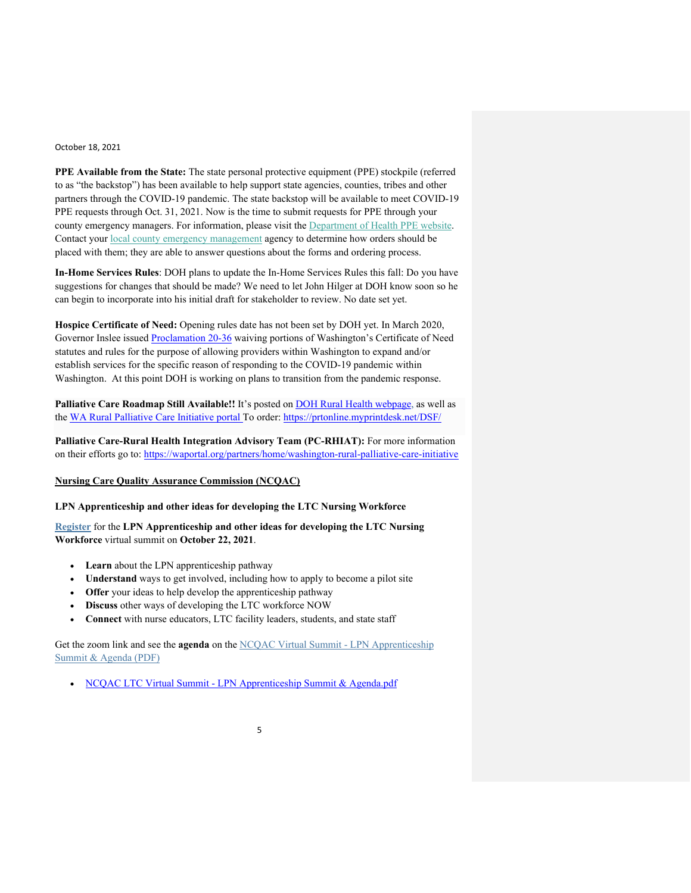**PPE Available from the State:** The state personal protective equipment (PPE) stockpile (referred to as "the backstop") has been available to help support state agencies, counties, tribes and other partners through the COVID-19 pandemic. The state backstop will be available to meet COVID-19 PPE requests through Oct. 31, 2021. Now is the time to submit requests for PPE through your county emergency managers. For information, please visit the [Department of Health PPE website.](https://na01.safelinks.protection.outlook.com/?url=https%3A%2F%2Flnks.gd%2Fl%2FeyJhbGciOiJIUzI1NiJ9.eyJidWxsZXRpbl9saW5rX2lkIjoxMDIsInVyaSI6ImJwMjpjbGljayIsImJ1bGxldGluX2lkIjoiMjAyMTA4MjAuNDQ4Mzk0NzEiLCJ1cmwiOiJodHRwczovL3d3dy5kb2gud2EuZ292L0Fib3V0VXMvUHJvZ3JhbXNhbmRTZXJ2aWNlcy9FbWVyZ2VuY3lQcmVwYXJlZG5lc3NhbmRSZXNwb25zZS9QUEVCYWNrc3RvcCNoZWFkaW5nOTA4MjQifQ.tl6sF4zJ_WWr_Nz1IC6J2lL24Ne9snmqovVoiwuwv20%2Fs%2F716479064%2Fbr%2F111217652096-l&data=04%7C01%7C%7C716cc12681834c9b1b8b08d96400e775%7C84df9e7fe9f640afb435aaaaaaaaaaaa%7C1%7C0%7C637650777307601406%7CUnknown%7CTWFpbGZsb3d8eyJWIjoiMC4wLjAwMDAiLCJQIjoiV2luMzIiLCJBTiI6Ik1haWwiLCJXVCI6Mn0%3D%7C1000&sdata=qV9nz2iGbtg2I05REx3ZQEYiE2Y3Y6iwYWr0mEM8mrQ%3D&reserved=0) Contact your [local county emergency management](https://na01.safelinks.protection.outlook.com/?url=https%3A%2F%2Flnks.gd%2Fl%2FeyJhbGciOiJIUzI1NiJ9.eyJidWxsZXRpbl9saW5rX2lkIjoxMDEsInVyaSI6ImJwMjpjbGljayIsImJ1bGxldGluX2lkIjoiMjAyMTA4MjAuNDQ4Mzk0NzEiLCJ1cmwiOiJodHRwczovL2FjY2Vzcy53YS5nb3YvdG9waWNzL2VtZXJnZW5jeS9yZXNvdXJjZXMvQ29udGFjdC9MaXN0Lmh0bWwifQ.8msIUdxOz4HVKkm453mg56smj0j-fmz2DoWT83yYmgc%2Fs%2F716479064%2Fbr%2F111217652096-l&data=04%7C01%7C%7C716cc12681834c9b1b8b08d96400e775%7C84df9e7fe9f640afb435aaaaaaaaaaaa%7C1%7C0%7C637650777307601406%7CUnknown%7CTWFpbGZsb3d8eyJWIjoiMC4wLjAwMDAiLCJQIjoiV2luMzIiLCJBTiI6Ik1haWwiLCJXVCI6Mn0%3D%7C1000&sdata=U0H%2Fj5JIWzM4pTv9k9EaV93D1oEdqn5sZoBwqd5F%2B8s%3D&reserved=0) agency to determine how orders should be placed with them; they are able to answer questions about the forms and ordering process.

**In-Home Services Rules**: DOH plans to update the In-Home Services Rules this fall: Do you have suggestions for changes that should be made? We need to let John Hilger at DOH know soon so he can begin to incorporate into his initial draft for stakeholder to review. No date set yet.

**Hospice Certificate of Need:** Opening rules date has not been set by DOH yet. In March 2020, Governor Inslee issued [Proclamation 20-36](https://na01.safelinks.protection.outlook.com/?url=https%3A%2F%2Flnks.gd%2Fl%2FeyJhbGciOiJIUzI1NiJ9.eyJidWxsZXRpbl9saW5rX2lkIjoxMDAsInVyaSI6ImJwMjpjbGljayIsImJ1bGxldGluX2lkIjoiMjAyMTA3MTUuNDMyNzMyMTEiLCJ1cmwiOiJodHRwczovL2djYzAyLnNhZmVsaW5rcy5wcm90ZWN0aW9uLm91dGxvb2suY29tLz91cmw9aHR0cHMlM0ElMkYlMkZ3d3cuZ292ZXJub3Iud2EuZ292JTJGc2l0ZXMlMkZkZWZhdWx0JTJGZmlsZXMlMkZwcm9jbGFtYXRpb25zJTJGMjAtMzYlMjUyMC0lMjUyMENPVklELTE5JTI1MjAtJTI1MjBET0glMjUyMEhlYWx0aCUyNTIwQ2FyZSUyNTIwRmFjaWxpdGllcy1IYW5kJTI1MjBTYW5pdGl6ZXIlMjUyMCUyNTI4dG1wJTI1MjkucGRmJmRhdGE9MDQlN0MwMSU3Q0FsZWphbmRyby5MZSU0MGRvaC53YS5nb3YlN0NlYjk3ZTVjZjNkMTU0NjE4M2FkZDA4ZDk0N2I4YjE0OSU3QzExZDBlMjE3MjY0ZTQwMGE4YmEwNTdkY2MxMjdkNzJkJTdDMCU3QzAlN0M2Mzc2MTk2ODA4MzMyMDIzMzclN0NVbmtub3duJTdDVFdGcGJHWnNiM2Q4ZXlKV0lqb2lNQzR3TGpBd01EQWlMQ0pRSWpvaVYybHVNeklpTENKQlRpSTZJazFoYVd3aUxDSlhWQ0k2TW4wJTNEJTdDMTAwMCZzZGF0YT1iOFh3d0w0N2dteWxueEloJTJGWHV5OXZqWUw4QjclMkJmOVFZVnAzUWJBYUdBOCUzRCZyZXNlcnZlZD0wIn0.1m3Li9yw49U4lSAo-kzShZx6AyOHedJph7bogjJtviI%2Fs%2F716479064%2Fbr%2F109407351050-l&data=04%7C01%7C%7C32ecc2b6bb74436f7de608d947d4c3d6%7C84df9e7fe9f640afb435aaaaaaaaaaaa%7C1%7C0%7C637619801410423224%7CUnknown%7CTWFpbGZsb3d8eyJWIjoiMC4wLjAwMDAiLCJQIjoiV2luMzIiLCJBTiI6Ik1haWwiLCJXVCI6Mn0%3D%7C1000&sdata=YgJ%2FfkZUabMz7CiQoFWEUIYSWCpR1WJNmyEU7cAUzH0%3D&reserved=0) waiving portions of Washington's Certificate of Need statutes and rules for the purpose of allowing providers within Washington to expand and/or establish services for the specific reason of responding to the COVID-19 pandemic within Washington. At this point DOH is working on plans to transition from the pandemic response.

**Palliative Care Roadmap Still Available!!** It's posted on [DOH Rural Health webpage,](https://www.doh.wa.gov/ForPublicHealthandHealthcareProviders/RuralHealth) as well as the [WA Rural Palliative Care Initiative portal T](https://waportal.org/partners/home/washington-rural-palliative-care-initiative)o order: <https://prtonline.myprintdesk.net/DSF/>

**Palliative Care-Rural Health Integration Advisory Team (PC-RHIAT):** For more information on their efforts go to:<https://waportal.org/partners/home/washington-rural-palliative-care-initiative>

## **Nursing Care Quality Assurance Commission (NCQAC)**

## **LPN Apprenticeship and other ideas for developing the LTC Nursing Workforce**

**[Register](https://lnks.gd/l/eyJhbGciOiJIUzI1NiJ9.eyJidWxsZXRpbl9saW5rX2lkIjoxMDAsInVyaSI6ImJwMjpjbGljayIsImJ1bGxldGluX2lkIjoiMjAyMTEwMTIuNDcxOTk4NTEiLCJ1cmwiOiJodHRwczovL2xua3MuZ2QvbC9leUpoYkdjaU9pSklVekkxTmlKOS5leUppZFd4c1pYUnBibDlzYVc1clgybGtJam94TURBc0luVnlhU0k2SW1Kd01qcGpiR2xqYXlJc0ltSjFiR3hsZEdsdVgybGtJam9pTWpBeU1UQTVNalF1TkRZME5EWXpNakVpTENKMWNtd2lPaUpvZEhSd2N6b3ZMM1Z6TURKM1pXSXVlbTl2YlM1MWN5OXRaV1YwYVc1bkwzSmxaMmx6ZEdWeUwzUmFNSEZqTFRKMWNsUXdka1U1WkRSZk9XVnFjakYwUVhkVlVsVnVSRFF0YlZwUlh5SjkuMjJ5SUxWQWlzY3o3SG5pcDdZWVVLOTdqeHliV0hQN3UtV1lpamRNcHlmcy9zLzY3OTQ1ODY2MC9ici8xMTI5MDE3NjcwMzctbCJ9.qAEBISCwaiCQ--aB9ym4OkwYBBS3hlKVW_ISu7qlY-Q/s/717258116/br/113731358123-l)** for the **LPN Apprenticeship and other ideas for developing the LTC Nursing Workforce** virtual summit on **October 22, 2021**.

- **Learn** about the LPN apprenticeship pathway
- **Understand** ways to get involved, including how to apply to become a pilot site
- **Offer** your ideas to help develop the apprenticeship pathway
- **Discuss** other ways of developing the LTC workforce NOW
- **Connect** with nurse educators, LTC facility leaders, students, and state staff

Get the zoom link and see the **agenda** on the [NCQAC Virtual Summit -](https://lnks.gd/l/eyJhbGciOiJIUzI1NiJ9.eyJidWxsZXRpbl9saW5rX2lkIjoxMDEsInVyaSI6ImJwMjpjbGljayIsImJ1bGxldGluX2lkIjoiMjAyMTEwMTIuNDcxOTk4NTEiLCJ1cmwiOiJodHRwczovL2xua3MuZ2QvbC9leUpoYkdjaU9pSklVekkxTmlKOS5leUppZFd4c1pYUnBibDlzYVc1clgybGtJam94TURFc0luVnlhU0k2SW1Kd01qcGpiR2xqYXlJc0ltSjFiR3hsZEdsdVgybGtJam9pTWpBeU1UQTVNalF1TkRZME5EWXpNakVpTENKMWNtd2lPaUpvZEhSd2N6b3ZMMk52Ym5SbGJuUXVaMjkyWkdWc2FYWmxjbmt1WTI5dEwyRjBkR0ZqYUcxbGJuUnpMMWRCUkU5SUx6SXdNakV2TURrdk1UUXZabWxzWlY5aGRIUmhZMmh0Wlc1MGN5OHhPVE0wTnpRd0wwNURVVUZESlRJd1ZtbHlkSFZoYkNVeU1GTjFiVzFwZENVeU1DMGxNakJNVUU0bE1qQkJjSEJ5Wlc1MGFXTmxjMmhwY0NVeU1GTjFiVzFwZENVeU1DWWxNakJCWjJWdVpHRXVjR1JtSW4wLi1QcG1fZW1Hb3dZRFdkTnZ4bS1uZUxaSkVlaE9lMVVmZVU4VW1rbTg5Skkvcy82Nzk0NTg2NjAvYnIvMTEyOTAxNzY3MDM3LWwifQ.emuP-EOxWjKa6Tm5w1t5oMgLA9aAhft4I1TJ2ekFV1Y/s/717258116/br/113731358123-l) LPN Apprenticeship [Summit & Agenda \(PDF\)](https://lnks.gd/l/eyJhbGciOiJIUzI1NiJ9.eyJidWxsZXRpbl9saW5rX2lkIjoxMDEsInVyaSI6ImJwMjpjbGljayIsImJ1bGxldGluX2lkIjoiMjAyMTEwMTIuNDcxOTk4NTEiLCJ1cmwiOiJodHRwczovL2xua3MuZ2QvbC9leUpoYkdjaU9pSklVekkxTmlKOS5leUppZFd4c1pYUnBibDlzYVc1clgybGtJam94TURFc0luVnlhU0k2SW1Kd01qcGpiR2xqYXlJc0ltSjFiR3hsZEdsdVgybGtJam9pTWpBeU1UQTVNalF1TkRZME5EWXpNakVpTENKMWNtd2lPaUpvZEhSd2N6b3ZMMk52Ym5SbGJuUXVaMjkyWkdWc2FYWmxjbmt1WTI5dEwyRjBkR0ZqYUcxbGJuUnpMMWRCUkU5SUx6SXdNakV2TURrdk1UUXZabWxzWlY5aGRIUmhZMmh0Wlc1MGN5OHhPVE0wTnpRd0wwNURVVUZESlRJd1ZtbHlkSFZoYkNVeU1GTjFiVzFwZENVeU1DMGxNakJNVUU0bE1qQkJjSEJ5Wlc1MGFXTmxjMmhwY0NVeU1GTjFiVzFwZENVeU1DWWxNakJCWjJWdVpHRXVjR1JtSW4wLi1QcG1fZW1Hb3dZRFdkTnZ4bS1uZUxaSkVlaE9lMVVmZVU4VW1rbTg5Skkvcy82Nzk0NTg2NjAvYnIvMTEyOTAxNzY3MDM3LWwifQ.emuP-EOxWjKa6Tm5w1t5oMgLA9aAhft4I1TJ2ekFV1Y/s/717258116/br/113731358123-l)

• NCQAC LTC Virtual Summit - [LPN Apprenticeship Summit & Agenda.pdf](https://lnks.gd/l/eyJhbGciOiJIUzI1NiJ9.eyJidWxsZXRpbl9saW5rX2lkIjoxMDIsInVyaSI6ImJwMjpjbGljayIsImJ1bGxldGluX2lkIjoiMjAyMTEwMTIuNDcxOTk4NTEiLCJ1cmwiOiJodHRwczovL2NvbnRlbnQuZ292ZGVsaXZlcnkuY29tL2F0dGFjaG1lbnRzL1dBRE9ILzIwMjEvMTAvMTEvZmlsZV9hdHRhY2htZW50cy8xOTYyNzM3L05DUUFDJTIwTFRDJTIwVmlydHVhbCUyMFN1bW1pdCUyMC0lMjBMUE4lMjBBcHByZW50aWNlc2hpcCUyMFN1bW1pdCUyMCYlMjBBZ2VuZGEucGRmIn0.9_xqc-sYm9opJakYf7AyDRluYbJugSdJla_6a9vthYc/s/717258116/br/113731358123-l)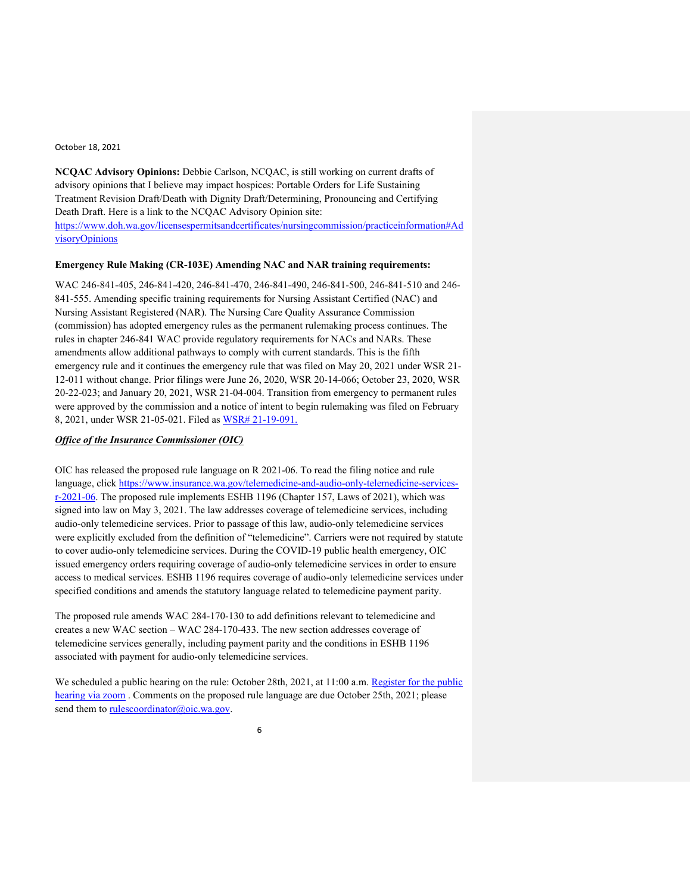**NCQAC Advisory Opinions:** Debbie Carlson, NCQAC, is still working on current drafts of advisory opinions that I believe may impact hospices: Portable Orders for Life Sustaining Treatment Revision Draft/Death with Dignity Draft/Determining, Pronouncing and Certifying Death Draft. Here is a link to the NCQAC Advisory Opinion site: [https://www.doh.wa.gov/licensespermitsandcertificates/nursingcommission/practiceinformation#Ad](https://www.doh.wa.gov/licensespermitsandcertificates/nursingcommission/practiceinformation#AdvisoryOpinions) [visoryOpinions](https://www.doh.wa.gov/licensespermitsandcertificates/nursingcommission/practiceinformation#AdvisoryOpinions)

#### **Emergency Rule Making (CR-103E) Amending NAC and NAR training requirements:**

WAC 246-841-405, 246-841-420, 246-841-470, 246-841-490, 246-841-500, 246-841-510 and 246- 841-555. Amending specific training requirements for Nursing Assistant Certified (NAC) and Nursing Assistant Registered (NAR). The Nursing Care Quality Assurance Commission (commission) has adopted emergency rules as the permanent rulemaking process continues. The rules in chapter 246-841 WAC provide regulatory requirements for NACs and NARs. These amendments allow additional pathways to comply with current standards. This is the fifth emergency rule and it continues the emergency rule that was filed on May 20, 2021 under WSR 21- 12-011 without change. Prior filings were June 26, 2020, WSR 20-14-066; October 23, 2020, WSR 20-22-023; and January 20, 2021, WSR 21-04-004. Transition from emergency to permanent rules were approved by the commission and a notice of intent to begin rulemaking was filed on February 8, 2021, under WSR 21-05-021. Filed as [WSR# 21-19-091.](https://lnks.gd/l/eyJhbGciOiJIUzI1NiJ9.eyJidWxsZXRpbl9saW5rX2lkIjoxMDQsInVyaSI6ImJwMjpjbGljayIsImJ1bGxldGluX2lkIjoiMjAyMTA5MjcuNDY1NDI0NTEiLCJ1cmwiOiJodHRwczovL3d3dy5kb2gud2EuZ292L1BvcnRhbHMvMS9Eb2N1bWVudHMvMTEwMC8yMTE5L0NPVklEMTlfV1NSMjExOTA5MU5BQ2FuZE5BUmxpY2Vuc3VyZTV0aENSMTAzRV9IU1FBZmluYWxfMjAyMTA5MTcucGRmIn0.eSNx098fc4_8FhxWvxJq7fg-qp38Hx4BCEd9M2vcFWg/s/717258116/br/112980510128-l)

# *Office of the Insurance Commissioner (OIC)*

OIC has released the proposed rule language on R 2021-06. To read the filing notice and rule language, click [https://www.insurance.wa.gov/telemedicine-and-audio-only-telemedicine-services](https://www.insurance.wa.gov/telemedicine-and-audio-only-telemedicine-services-r-2021-06)[r-2021-06.](https://www.insurance.wa.gov/telemedicine-and-audio-only-telemedicine-services-r-2021-06) The proposed rule implements ESHB 1196 (Chapter 157, Laws of 2021), which was signed into law on May 3, 2021. The law addresses coverage of telemedicine services, including audio-only telemedicine services. Prior to passage of this law, audio-only telemedicine services were explicitly excluded from the definition of "telemedicine". Carriers were not required by statute to cover audio-only telemedicine services. During the COVID-19 public health emergency, OIC issued emergency orders requiring coverage of audio-only telemedicine services in order to ensure access to medical services. ESHB 1196 requires coverage of audio-only telemedicine services under specified conditions and amends the statutory language related to telemedicine payment parity.

The proposed rule amends WAC 284-170-130 to add definitions relevant to telemedicine and creates a new WAC section – WAC 284-170-433. The new section addresses coverage of telemedicine services generally, including payment parity and the conditions in ESHB 1196 associated with payment for audio-only telemedicine services.

We scheduled a public hearing on the rule: October 28th, 2021, at 11:00 a.m. Register for the public [hearing via zoom](https://lnks.gd/l/eyJhbGciOiJIUzI1NiJ9.eyJidWxsZXRpbl9saW5rX2lkIjoxMDAsInVyaSI6ImJwMjpjbGljayIsImJ1bGxldGluX2lkIjoiMjAyMTA5MjMuNDYzNTg5ODEiLCJ1cmwiOiJodHRwczovL3dhLW9pYy56b29tLnVzL21lZXRpbmcvcmVnaXN0ZXIvdFpZcmQteW9xendwSGRVYkd4M05YdGdWcVBvRkxBNlNFVDNwP3V0bV9jb250ZW50PSZ1dG1fbWVkaXVtPWVtYWlsJnV0bV9uYW1lPSZ1dG1fc291cmNlPWdvdmRlbGl2ZXJ5JnV0bV90ZXJtPSJ9.7pEov2GS-xlnTQyas91Y2UJWoPXrG3iYbCozdPPgtvg/s/378224492/br/112814357795-l). Comments on the proposed rule language are due October 25th, 2021; please send them to [rulescoordinator@oic.wa.gov.](mailto:rulesc@oic.wa.gov)